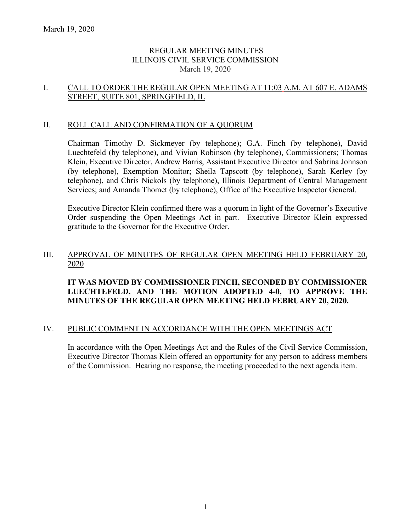## REGULAR MEETING MINUTES ILLINOIS CIVIL SERVICE COMMISSION March 19, 2020

## I. CALL TO ORDER THE REGULAR OPEN MEETING AT 11:03 A.M. AT 607 E. ADAMS STREET, SUITE 801, SPRINGFIELD, IL

## II. ROLL CALL AND CONFIRMATION OF A QUORUM

Chairman Timothy D. Sickmeyer (by telephone); G.A. Finch (by telephone), David Luechtefeld (by telephone), and Vivian Robinson (by telephone), Commissioners; Thomas Klein, Executive Director, Andrew Barris, Assistant Executive Director and Sabrina Johnson (by telephone), Exemption Monitor; Sheila Tapscott (by telephone), Sarah Kerley (by telephone), and Chris Nickols (by telephone), Illinois Department of Central Management Services; and Amanda Thomet (by telephone), Office of the Executive Inspector General.

Executive Director Klein confirmed there was a quorum in light of the Governor's Executive Order suspending the Open Meetings Act in part. Executive Director Klein expressed gratitude to the Governor for the Executive Order.

### III. APPROVAL OF MINUTES OF REGULAR OPEN MEETING HELD FEBRUARY 20, 2020

# **IT WAS MOVED BY COMMISSIONER FINCH, SECONDED BY COMMISSIONER LUECHTEFELD, AND THE MOTION ADOPTED 4-0, TO APPROVE THE MINUTES OF THE REGULAR OPEN MEETING HELD FEBRUARY 20, 2020.**

### IV. PUBLIC COMMENT IN ACCORDANCE WITH THE OPEN MEETINGS ACT

In accordance with the Open Meetings Act and the Rules of the Civil Service Commission, Executive Director Thomas Klein offered an opportunity for any person to address members of the Commission. Hearing no response, the meeting proceeded to the next agenda item.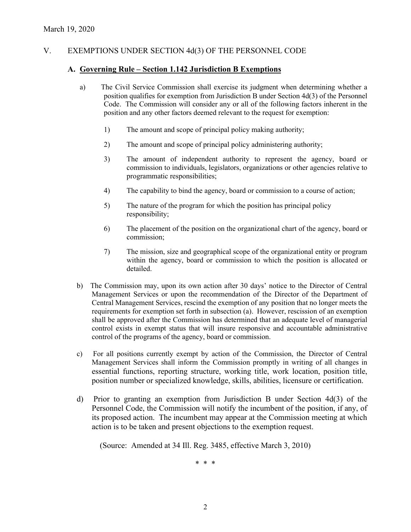# V. EXEMPTIONS UNDER SECTION 4d(3) OF THE PERSONNEL CODE

### **A. Governing Rule – Section 1.142 Jurisdiction B Exemptions**

- a) The Civil Service Commission shall exercise its judgment when determining whether a position qualifies for exemption from Jurisdiction B under Section 4d(3) of the Personnel Code. The Commission will consider any or all of the following factors inherent in the position and any other factors deemed relevant to the request for exemption:
	- 1) The amount and scope of principal policy making authority;
	- 2) The amount and scope of principal policy administering authority;
	- 3) The amount of independent authority to represent the agency, board or commission to individuals, legislators, organizations or other agencies relative to programmatic responsibilities;
	- 4) The capability to bind the agency, board or commission to a course of action;
	- 5) The nature of the program for which the position has principal policy responsibility;
	- 6) The placement of the position on the organizational chart of the agency, board or commission;
	- 7) The mission, size and geographical scope of the organizational entity or program within the agency, board or commission to which the position is allocated or detailed.
- b) The Commission may, upon its own action after 30 days' notice to the Director of Central Management Services or upon the recommendation of the Director of the Department of Central Management Services, rescind the exemption of any position that no longer meets the requirements for exemption set forth in subsection (a). However, rescission of an exemption shall be approved after the Commission has determined that an adequate level of managerial control exists in exempt status that will insure responsive and accountable administrative control of the programs of the agency, board or commission.
- c) For all positions currently exempt by action of the Commission, the Director of Central Management Services shall inform the Commission promptly in writing of all changes in essential functions, reporting structure, working title, work location, position title, position number or specialized knowledge, skills, abilities, licensure or certification.
- d) Prior to granting an exemption from Jurisdiction B under Section 4d(3) of the Personnel Code, the Commission will notify the incumbent of the position, if any, of its proposed action. The incumbent may appear at the Commission meeting at which action is to be taken and present objections to the exemption request.

(Source: Amended at 34 Ill. Reg. 3485, effective March 3, 2010)

\* \* \*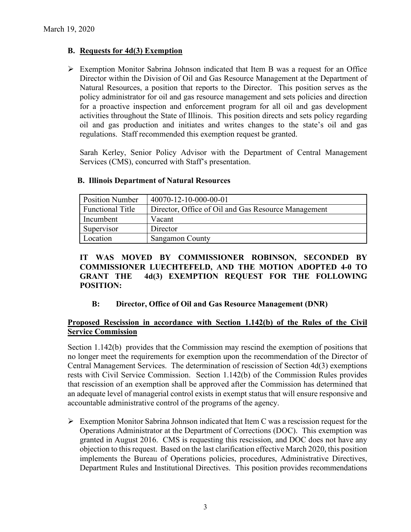# **B. Requests for 4d(3) Exemption**

 $\triangleright$  Exemption Monitor Sabrina Johnson indicated that Item B was a request for an Office Director within the Division of Oil and Gas Resource Management at the Department of Natural Resources, a position that reports to the Director. This position serves as the policy administrator for oil and gas resource management and sets policies and direction for a proactive inspection and enforcement program for all oil and gas development activities throughout the State of Illinois. This position directs and sets policy regarding oil and gas production and initiates and writes changes to the state's oil and gas regulations. Staff recommended this exemption request be granted.

Sarah Kerley, Senior Policy Advisor with the Department of Central Management Services (CMS), concurred with Staff's presentation.

| <b>Position Number</b>  | 40070-12-10-000-00-01                               |
|-------------------------|-----------------------------------------------------|
| <b>Functional Title</b> | Director, Office of Oil and Gas Resource Management |
| Incumbent               | Vacant                                              |
| Supervisor              | Director                                            |
| Location                | <b>Sangamon County</b>                              |

## **B. Illinois Department of Natural Resources**

**IT WAS MOVED BY COMMISSIONER ROBINSON, SECONDED BY COMMISSIONER LUECHTEFELD, AND THE MOTION ADOPTED 4-0 TO GRANT THE 4d(3) EXEMPTION REQUEST FOR THE FOLLOWING POSITION:**

# **B: Director, Office of Oil and Gas Resource Management (DNR)**

# **Proposed Rescission in accordance with Section 1.142(b) of the Rules of the Civil Service Commission**

Section 1.142(b) provides that the Commission may rescind the exemption of positions that no longer meet the requirements for exemption upon the recommendation of the Director of Central Management Services. The determination of rescission of Section 4d(3) exemptions rests with Civil Service Commission. Section 1.142(b) of the Commission Rules provides that rescission of an exemption shall be approved after the Commission has determined that an adequate level of managerial control exists in exempt status that will ensure responsive and accountable administrative control of the programs of the agency.

 $\triangleright$  Exemption Monitor Sabrina Johnson indicated that Item C was a rescission request for the Operations Administrator at the Department of Corrections (DOC). This exemption was granted in August 2016. CMS is requesting this rescission, and DOC does not have any objection to this request. Based on the last clarification effective March 2020, this position implements the Bureau of Operations policies, procedures, Administrative Directives, Department Rules and Institutional Directives. This position provides recommendations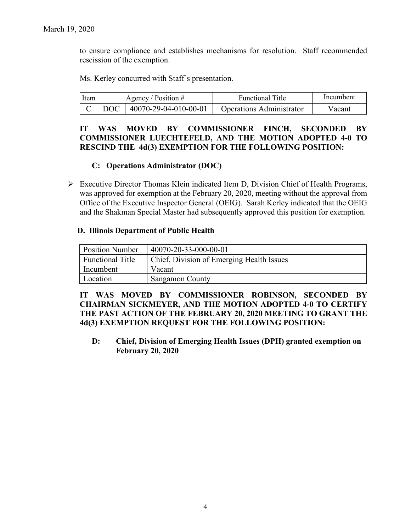to ensure compliance and establishes mechanisms for resolution. Staff recommended rescission of the exemption.

Ms. Kerley concurred with Staff's presentation.

| l Item l | Agency / Position $#$ |                                 | <b>Functional Title</b>         | Incumbent |
|----------|-----------------------|---------------------------------|---------------------------------|-----------|
|          |                       | C   DOC   40070-29-04-010-00-01 | <b>Operations Administrator</b> | Vacant    |

## **IT WAS MOVED BY COMMISSIONER FINCH, SECONDED BY COMMISSIONER LUECHTEFELD, AND THE MOTION ADOPTED 4-0 TO RESCIND THE 4d(3) EXEMPTION FOR THE FOLLOWING POSITION:**

# **C: Operations Administrator (DOC)**

 $\triangleright$  Executive Director Thomas Klein indicated Item D, Division Chief of Health Programs, was approved for exemption at the February 20, 2020, meeting without the approval from Office of the Executive Inspector General (OEIG). Sarah Kerley indicated that the OEIG and the Shakman Special Master had subsequently approved this position for exemption.

### **D. Illinois Department of Public Health**

| <b>Position Number</b>  | 40070-20-33-000-00-01                     |
|-------------------------|-------------------------------------------|
| <b>Functional Title</b> | Chief, Division of Emerging Health Issues |
| Incumbent               | Vacant                                    |
| Location                | <b>Sangamon County</b>                    |

**IT WAS MOVED BY COMMISSIONER ROBINSON, SECONDED BY CHAIRMAN SICKMEYER, AND THE MOTION ADOPTED 4-0 TO CERTIFY THE PAST ACTION OF THE FEBRUARY 20, 2020 MEETING TO GRANT THE 4d(3) EXEMPTION REQUEST FOR THE FOLLOWING POSITION:**

**D: Chief, Division of Emerging Health Issues (DPH) granted exemption on February 20, 2020**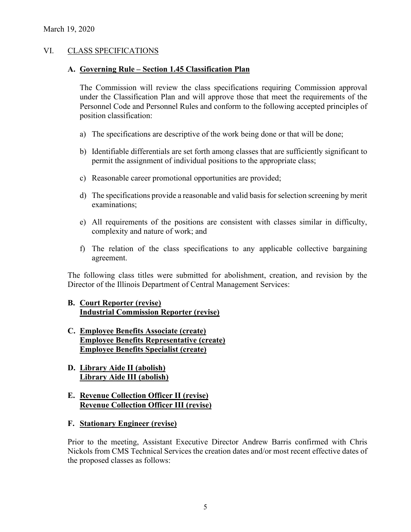## VI. CLASS SPECIFICATIONS

### **A. Governing Rule – Section 1.45 Classification Plan**

The Commission will review the class specifications requiring Commission approval under the Classification Plan and will approve those that meet the requirements of the Personnel Code and Personnel Rules and conform to the following accepted principles of position classification:

- a) The specifications are descriptive of the work being done or that will be done;
- b) Identifiable differentials are set forth among classes that are sufficiently significant to permit the assignment of individual positions to the appropriate class;
- c) Reasonable career promotional opportunities are provided;
- d) The specifications provide a reasonable and valid basis for selection screening by merit examinations;
- e) All requirements of the positions are consistent with classes similar in difficulty, complexity and nature of work; and
- f) The relation of the class specifications to any applicable collective bargaining agreement.

The following class titles were submitted for abolishment, creation, and revision by the Director of the Illinois Department of Central Management Services:

# **B. Court Reporter (revise) Industrial Commission Reporter (revise)**

- **C. Employee Benefits Associate (create) Employee Benefits Representative (create) Employee Benefits Specialist (create)**
- **D. Library Aide II (abolish) Library Aide III (abolish)**

# **E. Revenue Collection Officer II (revise) Revenue Collection Officer III (revise)**

**F. Stationary Engineer (revise)**

Prior to the meeting, Assistant Executive Director Andrew Barris confirmed with Chris Nickols from CMS Technical Services the creation dates and/or most recent effective dates of the proposed classes as follows: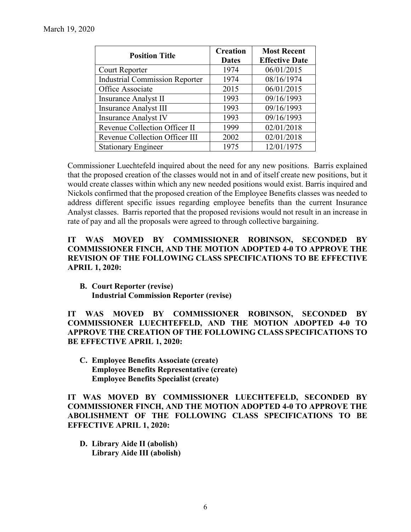| <b>Position Title</b>                 | <b>Creation</b><br><b>Dates</b> | <b>Most Recent</b><br><b>Effective Date</b> |
|---------------------------------------|---------------------------------|---------------------------------------------|
| Court Reporter                        | 1974                            | 06/01/2015                                  |
| <b>Industrial Commission Reporter</b> | 1974                            | 08/16/1974                                  |
| Office Associate                      | 2015                            | 06/01/2015                                  |
| <b>Insurance Analyst II</b>           | 1993                            | 09/16/1993                                  |
| <b>Insurance Analyst III</b>          | 1993                            | 09/16/1993                                  |
| <b>Insurance Analyst IV</b>           | 1993                            | 09/16/1993                                  |
| Revenue Collection Officer II         | 1999                            | 02/01/2018                                  |
| Revenue Collection Officer III        | 2002                            | 02/01/2018                                  |
| <b>Stationary Engineer</b>            | 1975                            | 12/01/1975                                  |

Commissioner Luechtefeld inquired about the need for any new positions. Barris explained that the proposed creation of the classes would not in and of itself create new positions, but it would create classes within which any new needed positions would exist. Barris inquired and Nickols confirmed that the proposed creation of the Employee Benefits classes was needed to address different specific issues regarding employee benefits than the current Insurance Analyst classes. Barris reported that the proposed revisions would not result in an increase in rate of pay and all the proposals were agreed to through collective bargaining.

# **IT WAS MOVED BY COMMISSIONER ROBINSON, SECONDED BY COMMISSIONER FINCH, AND THE MOTION ADOPTED 4-0 TO APPROVE THE REVISION OF THE FOLLOWING CLASS SPECIFICATIONS TO BE EFFECTIVE APRIL 1, 2020:**

**B. Court Reporter (revise) Industrial Commission Reporter (revise)**

**IT WAS MOVED BY COMMISSIONER ROBINSON, SECONDED BY COMMISSIONER LUECHTEFELD, AND THE MOTION ADOPTED 4-0 TO APPROVE THE CREATION OF THE FOLLOWING CLASS SPECIFICATIONS TO BE EFFECTIVE APRIL 1, 2020:**

**C. Employee Benefits Associate (create) Employee Benefits Representative (create) Employee Benefits Specialist (create)**

**IT WAS MOVED BY COMMISSIONER LUECHTEFELD, SECONDED BY COMMISSIONER FINCH, AND THE MOTION ADOPTED 4-0 TO APPROVE THE ABOLISHMENT OF THE FOLLOWING CLASS SPECIFICATIONS TO BE EFFECTIVE APRIL 1, 2020:**

**D. Library Aide II (abolish) Library Aide III (abolish)**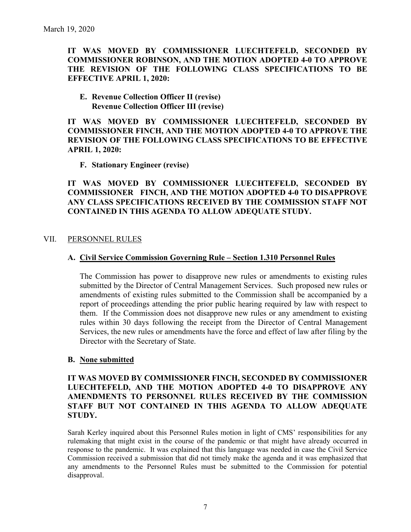# **IT WAS MOVED BY COMMISSIONER LUECHTEFELD, SECONDED BY COMMISSIONER ROBINSON, AND THE MOTION ADOPTED 4-0 TO APPROVE THE REVISION OF THE FOLLOWING CLASS SPECIFICATIONS TO BE EFFECTIVE APRIL 1, 2020:**

#### **E. Revenue Collection Officer II (revise) Revenue Collection Officer III (revise)**

**IT WAS MOVED BY COMMISSIONER LUECHTEFELD, SECONDED BY COMMISSIONER FINCH, AND THE MOTION ADOPTED 4-0 TO APPROVE THE REVISION OF THE FOLLOWING CLASS SPECIFICATIONS TO BE EFFECTIVE APRIL 1, 2020:**

**F. Stationary Engineer (revise)**

**IT WAS MOVED BY COMMISSIONER LUECHTEFELD, SECONDED BY COMMISSIONER FINCH, AND THE MOTION ADOPTED 4-0 TO DISAPPROVE ANY CLASS SPECIFICATIONS RECEIVED BY THE COMMISSION STAFF NOT CONTAINED IN THIS AGENDA TO ALLOW ADEQUATE STUDY.** 

### VII. PERSONNEL RULES

### **A. Civil Service Commission Governing Rule – Section 1.310 Personnel Rules**

The Commission has power to disapprove new rules or amendments to existing rules submitted by the Director of Central Management Services. Such proposed new rules or amendments of existing rules submitted to the Commission shall be accompanied by a report of proceedings attending the prior public hearing required by law with respect to them. If the Commission does not disapprove new rules or any amendment to existing rules within 30 days following the receipt from the Director of Central Management Services, the new rules or amendments have the force and effect of law after filing by the Director with the Secretary of State.

### **B. None submitted**

## **IT WAS MOVED BY COMMISSIONER FINCH, SECONDED BY COMMISSIONER LUECHTEFELD, AND THE MOTION ADOPTED 4-0 TO DISAPPROVE ANY AMENDMENTS TO PERSONNEL RULES RECEIVED BY THE COMMISSION STAFF BUT NOT CONTAINED IN THIS AGENDA TO ALLOW ADEQUATE STUDY.**

Sarah Kerley inquired about this Personnel Rules motion in light of CMS' responsibilities for any rulemaking that might exist in the course of the pandemic or that might have already occurred in response to the pandemic. It was explained that this language was needed in case the Civil Service Commission received a submission that did not timely make the agenda and it was emphasized that any amendments to the Personnel Rules must be submitted to the Commission for potential disapproval.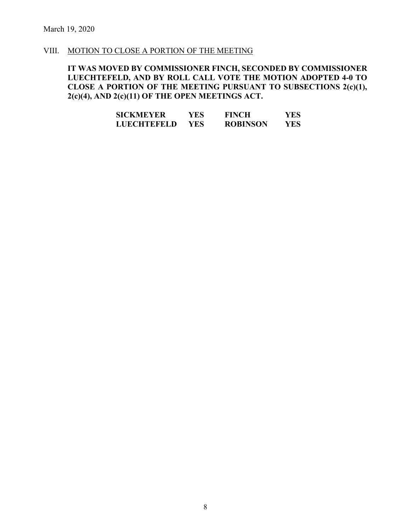#### VIII. MOTION TO CLOSE A PORTION OF THE MEETING

# **IT WAS MOVED BY COMMISSIONER FINCH, SECONDED BY COMMISSIONER LUECHTEFELD, AND BY ROLL CALL VOTE THE MOTION ADOPTED 4-0 TO CLOSE A PORTION OF THE MEETING PURSUANT TO SUBSECTIONS 2(c)(1), 2(c)(4), AND 2(c)(11) OF THE OPEN MEETINGS ACT.**

| <b>SICKMEYER</b>   | YES | <b>FINCH</b>    | YES |
|--------------------|-----|-----------------|-----|
| <b>LUECHTEFELD</b> | YES | <b>ROBINSON</b> | YES |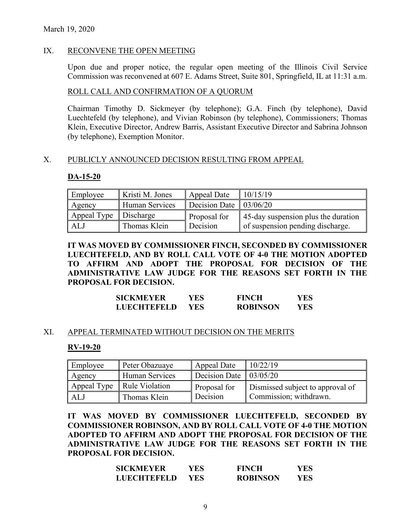### March 19, 2020

### IX. RECONVENE THE OPEN MEETING

Upon due and proper notice, the regular open meeting of the Illinois Civil Service Commission was reconvened at 607 E. Adams Street, Suite 801, Springfield, IL at 11:31 a.m.

### ROLL CALL AND CONFIRMATION OF A QUORUM

Chairman Timothy D. Sickmeyer (by telephone); G.A. Finch (by telephone), David Luechtefeld (by telephone), and Vivian Robinson (by telephone), Commissioners; Thomas Klein, Executive Director, Andrew Barris, Assistant Executive Director and Sabrina Johnson (by telephone), Exemption Monitor.

#### X. PUBLICLY ANNOUNCED DECISION RESULTING FROM APPEAL

#### **DA-15-20**

| Employee    | Kristi M. Jones       | Appeal Date              | 10/15/19                             |
|-------------|-----------------------|--------------------------|--------------------------------------|
| Agency      | <b>Human Services</b> | Decision Date   03/06/20 |                                      |
| Appeal Type | Discharge             | Proposal for             | 145-day suspension plus the duration |
| ALJ         | Thomas Klein          | Decision                 | of suspension pending discharge.     |

**IT WAS MOVED BY COMMISSIONER FINCH, SECONDED BY COMMISSIONER LUECHTEFELD, AND BY ROLL CALL VOTE OF 4-0 THE MOTION ADOPTED TO AFFIRM AND ADOPT THE PROPOSAL FOR DECISION OF THE ADMINISTRATIVE LAW JUDGE FOR THE REASONS SET FORTH IN THE PROPOSAL FOR DECISION.**

| <b>SICKMEYER</b>   | YES  | <b>FINCH</b>    | YES |
|--------------------|------|-----------------|-----|
| <b>LUECHTEFELD</b> | YES. | <b>ROBINSON</b> | YES |

### XI. APPEAL TERMINATED WITHOUT DECISION ON THE MERITS

### **RV-19-20**

| Employee | Peter Obazuaye               | Appeal Date                       | 10/22/19                         |
|----------|------------------------------|-----------------------------------|----------------------------------|
| Agency   | Human Services               | Decision Date $\frac{103}{05/20}$ |                                  |
|          | Appeal Type   Rule Violation | Proposal for                      | Dismissed subject to approval of |
| ALJ      | Thomas Klein                 | Decision                          | Commission; withdrawn.           |

**IT WAS MOVED BY COMMISSIONER LUECHTEFELD, SECONDED BY COMMISSIONER ROBINSON, AND BY ROLL CALL VOTE OF 4-0 THE MOTION ADOPTED TO AFFIRM AND ADOPT THE PROPOSAL FOR DECISION OF THE ADMINISTRATIVE LAW JUDGE FOR THE REASONS SET FORTH IN THE PROPOSAL FOR DECISION.**

| <b>SICKMEYER</b>   | YES  | <b>FINCH</b>    | YES |
|--------------------|------|-----------------|-----|
| <b>LUECHTEFELD</b> | YES. | <b>ROBINSON</b> | YES |